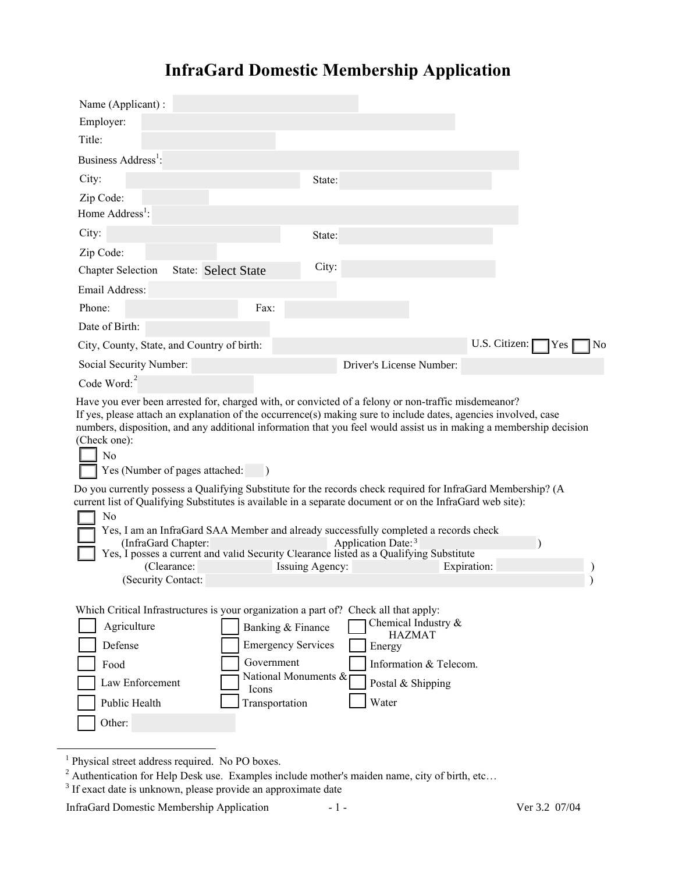# **InfraGard Domestic Membership Application**

| Name (Applicant):<br>Employer:                                                                                                                                                                                                                                                                                                                                                                                   |                 |                                                                                                        |               |     |                |
|------------------------------------------------------------------------------------------------------------------------------------------------------------------------------------------------------------------------------------------------------------------------------------------------------------------------------------------------------------------------------------------------------------------|-----------------|--------------------------------------------------------------------------------------------------------|---------------|-----|----------------|
| Title:                                                                                                                                                                                                                                                                                                                                                                                                           |                 |                                                                                                        |               |     |                |
| Business Address <sup>1</sup> :                                                                                                                                                                                                                                                                                                                                                                                  |                 |                                                                                                        |               |     |                |
| City:                                                                                                                                                                                                                                                                                                                                                                                                            | State:          |                                                                                                        |               |     |                |
| Zip Code:                                                                                                                                                                                                                                                                                                                                                                                                        |                 |                                                                                                        |               |     |                |
| Home Address <sup>1</sup> :                                                                                                                                                                                                                                                                                                                                                                                      |                 |                                                                                                        |               |     |                |
| City:                                                                                                                                                                                                                                                                                                                                                                                                            | State:          |                                                                                                        |               |     |                |
| Zip Code:                                                                                                                                                                                                                                                                                                                                                                                                        |                 |                                                                                                        |               |     |                |
| <b>State: Select State</b><br><b>Chapter Selection</b>                                                                                                                                                                                                                                                                                                                                                           | City:           |                                                                                                        |               |     |                |
| Email Address:                                                                                                                                                                                                                                                                                                                                                                                                   |                 |                                                                                                        |               |     |                |
| Phone:<br>Fax:                                                                                                                                                                                                                                                                                                                                                                                                   |                 |                                                                                                        |               |     |                |
| Date of Birth:                                                                                                                                                                                                                                                                                                                                                                                                   |                 |                                                                                                        |               |     |                |
| City, County, State, and Country of birth:                                                                                                                                                                                                                                                                                                                                                                       |                 |                                                                                                        | U.S. Citizen: | Yes | N <sub>0</sub> |
| Social Security Number:                                                                                                                                                                                                                                                                                                                                                                                          |                 | Driver's License Number:                                                                               |               |     |                |
| Code Word: $2$                                                                                                                                                                                                                                                                                                                                                                                                   |                 |                                                                                                        |               |     |                |
| Have you ever been arrested for, charged with, or convicted of a felony or non-traffic misdemeanor?<br>If yes, please attach an explanation of the occurrence(s) making sure to include dates, agencies involved, case<br>numbers, disposition, and any additional information that you feel would assist us in making a membership decision<br>(Check one):<br>N <sub>o</sub><br>Yes (Number of pages attached: |                 |                                                                                                        |               |     |                |
| Do you currently possess a Qualifying Substitute for the records check required for InfraGard Membership? (A                                                                                                                                                                                                                                                                                                     |                 |                                                                                                        |               |     |                |
| current list of Qualifying Substitutes is available in a separate document or on the InfraGard web site):<br>No                                                                                                                                                                                                                                                                                                  |                 |                                                                                                        |               |     |                |
| Yes, I am an InfraGard SAA Member and already successfully completed a records check                                                                                                                                                                                                                                                                                                                             |                 |                                                                                                        |               |     |                |
| (InfraGard Chapter:<br>Yes, I posses a current and valid Security Clearance listed as a Qualifying Substitute                                                                                                                                                                                                                                                                                                    |                 | Application Date: <sup>3</sup>                                                                         |               |     |                |
| (Clearance:                                                                                                                                                                                                                                                                                                                                                                                                      | Issuing Agency: |                                                                                                        | Expiration:   |     |                |
| (Security Contact:                                                                                                                                                                                                                                                                                                                                                                                               |                 |                                                                                                        |               |     |                |
| Which Critical Infrastructures is your organization a part of? Check all that apply:<br>Agriculture<br>Banking & Finance<br>Defense<br><b>Emergency Services</b><br>Government<br>Food<br>National Monuments $\&$<br>Law Enforcement<br>Icons<br>Public Health<br>Transportation<br>Other:                                                                                                                       |                 | Chemical Industry &<br><b>HAZMAT</b><br>Energy<br>Information & Telecom.<br>Postal & Shipping<br>Water |               |     |                |
|                                                                                                                                                                                                                                                                                                                                                                                                                  |                 |                                                                                                        |               |     |                |

<sup>&</sup>lt;sup>1</sup> Physical street address required. No PO boxes.

<sup>&</sup>lt;sup>2</sup> Authentication for Help Desk use. Examples include mother's maiden name, city of birth, etc...

<sup>&</sup>lt;sup>3</sup> If exact date is unknown, please provide an approximate date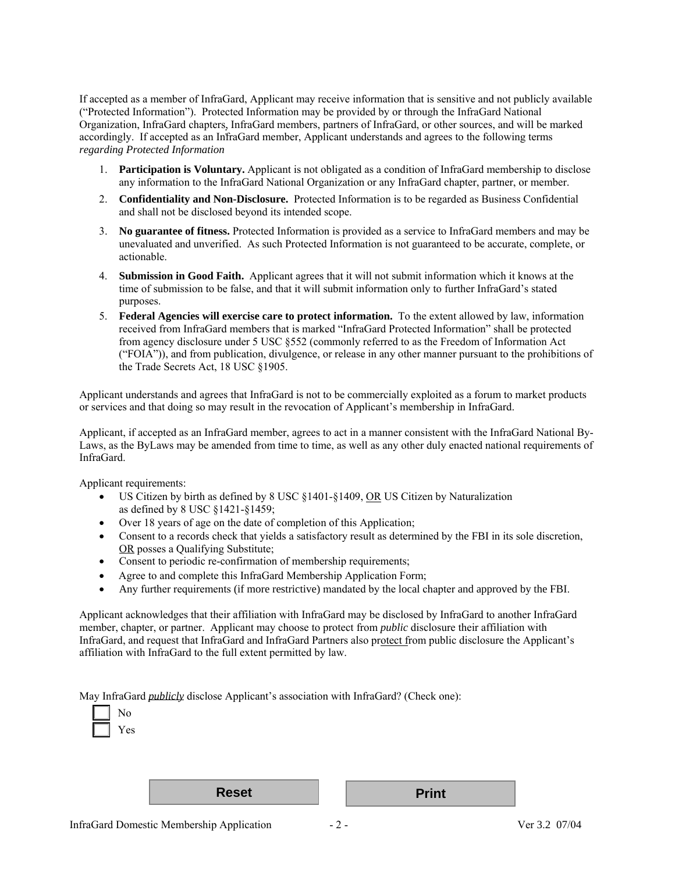If accepted as a member of InfraGard, Applicant may receive information that is sensitive and not publicly available ("Protected Information"). Protected Information may be provided by or through the InfraGard National Organization, InfraGard chapters, InfraGard members, partners of InfraGard, or other sources, and will be marked accordingly. If accepted as an InfraGard member, Applicant understands and agrees to the following terms : *regarding Protected Information*

- 1. **Participation is Voluntary.** Applicant is not obligated as a condition of InfraGard membership to disclose any information to the InfraGard National Organization or any InfraGard chapter, partner, or member.
- 2. **Confidentiality and Non-Disclosure.** Protected Information is to be regarded as Business Confidential and shall not be disclosed beyond its intended scope.
- 3. **No guarantee of fitness.** Protected Information is provided as a service to InfraGard members and may be unevaluated and unverified. As such Protected Information is not guaranteed to be accurate, complete, or actionable.
- 4. **Submission in Good Faith.** Applicant agrees that it will not submit information which it knows at the time of submission to be false, and that it will submit information only to further InfraGard's stated purposes.
- 5. **Federal Agencies will exercise care to protect information.** To the extent allowed by law, information received from InfraGard members that is marked "InfraGard Protected Information" shall be protected from agency disclosure under 5 USC §552 (commonly referred to as the Freedom of Information Act ("FOIA")), and from publication, divulgence, or release in any other manner pursuant to the prohibitions of the Trade Secrets Act, 18 USC §1905.

Applicant understands and agrees that InfraGard is not to be commercially exploited as a forum to market products or services and that doing so may result in the revocation of Applicant's membership in InfraGard.

Applicant, if accepted as an InfraGard member, agrees to act in a manner consistent with the InfraGard National By-Laws, as the ByLaws may be amended from time to time, as well as any other duly enacted national requirements of InfraGard.

Applicant requirements:

- US Citizen by birth as defined by 8 USC §1401-§1409, OR US Citizen by Naturalization as defined by 8 USC §1421-§1459;
- Over 18 years of age on the date of completion of this Application;
- Consent to a records check that yields a satisfactory result as determined by the FBI in its sole discretion, OR posses a Qualifying Substitute;
- Consent to periodic re-confirmation of membership requirements;
- Agree to and complete this InfraGard Membership Application Form;
- Any further requirements (if more restrictive) mandated by the local chapter and approved by the FBI.

Applicant acknowledges that their affiliation with InfraGard may be disclosed by InfraGard to another InfraGard member, chapter, or partner. Applicant may choose to protect from *public* disclosure their affiliation with InfraGard, and request that InfraGard and InfraGard Partners also protect from public disclosure the Applicant's affiliation with InfraGard to the full extent permitted by law.

May InfraGard *publicly* disclose Applicant's association with InfraGard? (Check one):

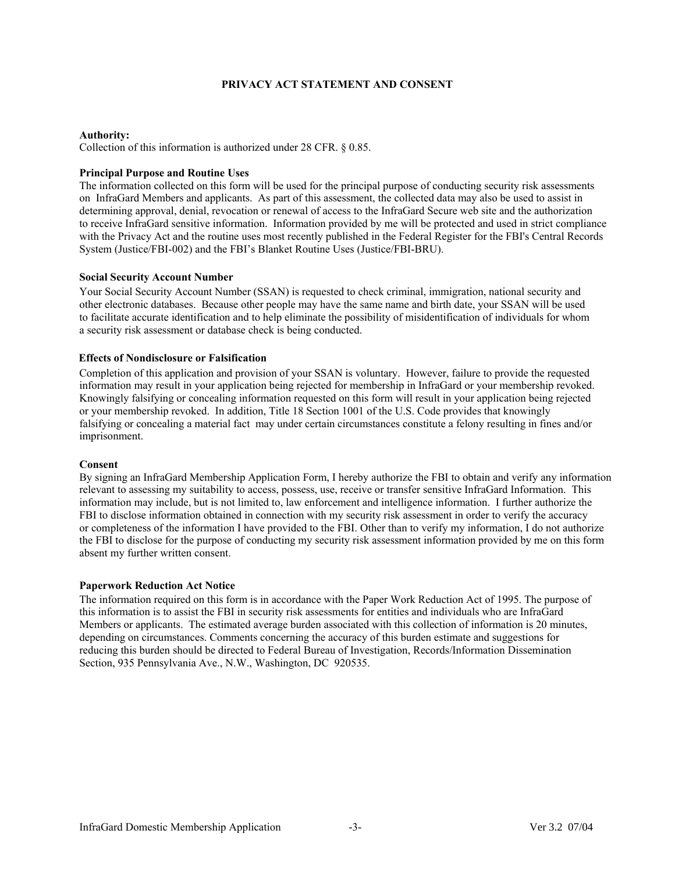### **PRIVACY ACT STATEMENT AND CONSENT**

#### **Authority:**

Collection of this information is authorized under 28 CFR. § 0.85.

#### **Principal Purpose and Routine Uses**

The information collected on this form will be used for the principal purpose of conducting security risk assessments on InfraGard Members and applicants. As part of this assessment, the collected data may also be used to assist in determining approval, denial, revocation or renewal of access to the InfraGard Secure web site and the authorization to receive InfraGard sensitive information. Information provided by me will be protected and used in strict compliance with the Privacy Act and the routine uses most recently published in the Federal Register for the FBI's Central Records System (Justice/FBI-002) and the FBI's Blanket Routine Uses (Justice/FBI-BRU).

#### **Social Security Account Number**

Your Social Security Account Number (SSAN) is requested to check criminal, immigration, national security and other electronic databases. Because other people may have the same name and birth date, your SSAN will be used to facilitate accurate identification and to help eliminate the possibility of misidentification of individuals for whom a security risk assessment or database check is being conducted.

#### **Effects of Nondisclosure or Falsification**

Completion of this application and provision of your SSAN is voluntary. However, failure to provide the requested information may result in your application being rejected for membership in InfraGard or your membership revoked. Knowingly falsifying or concealing information requested on this form will result in your application being rejected or your membership revoked. In addition, Title 18 Section 1001 of the U.S. Code provides that knowingly falsifying or concealing a material fact may under certain circumstances constitute a felony resulting in fines and/or imprisonment.

#### **Consent**

By signing an InfraGard Membership Application Form, I hereby authorize the FBI to obtain and verify any information relevant to assessing my suitability to access, possess, use, receive or transfer sensitive InfraGard Information. This information may include, but is not limited to, law enforcement and intelligence information. I further authorize the FBI to disclose information obtained in connection with my security risk assessment in order to verify the accuracy or completeness of the information I have provided to the FBI. Other than to verify my information, I do not authorize the FBI to disclose for the purpose of conducting my security risk assessment information provided by me on this form absent my further written consent.

#### **Paperwork Reduction Act Notice**

The information required on this form is in accordance with the Paper Work Reduction Act of 1995. The purpose of this information is to assist the FBI in security risk assessments for entities and individuals who are InfraGard Members or applicants. The estimated average burden associated with this collection of information is 20 minutes, depending on circumstances. Comments concerning the accuracy of this burden estimate and suggestions for reducing this burden should be directed to Federal Bureau of Investigation, Records/Information Dissemination Section, 935 Pennsylvania Ave., N.W., Washington, DC 920535.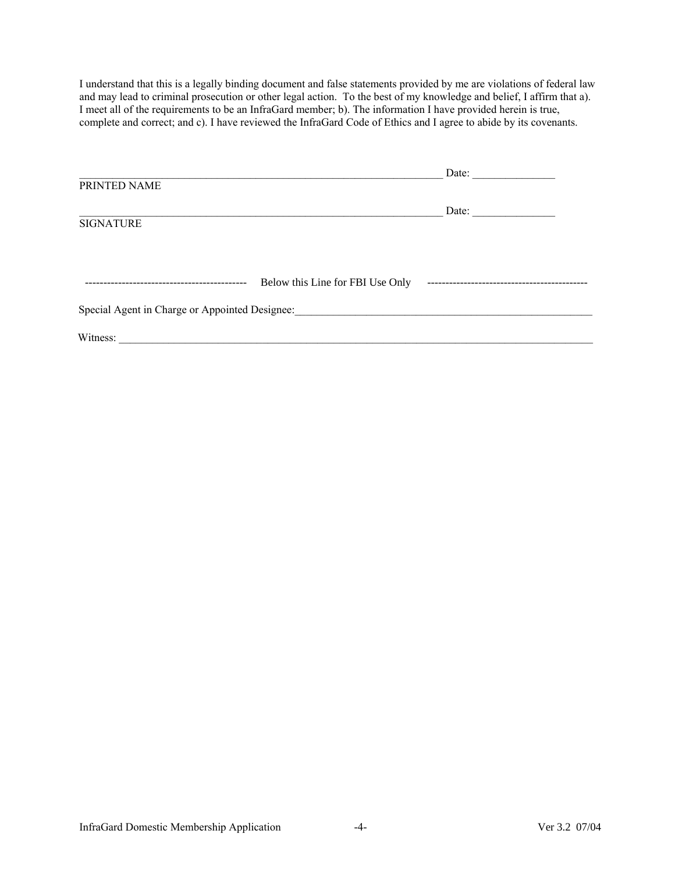I understand that this is a legally binding document and false statements provided by me are violations of federal law and may lead to criminal prosecution or other legal action. To the best of my knowledge and belief, I affirm that a). I meet all of the requirements to be an InfraGard member; b). The information I have provided herein is true, complete and correct; and c). I have reviewed the InfraGard Code of Ethics and I agree to abide by its covenants.

|                                                |                                  | Date: |  |  |  |
|------------------------------------------------|----------------------------------|-------|--|--|--|
| PRINTED NAME                                   |                                  |       |  |  |  |
|                                                |                                  |       |  |  |  |
|                                                |                                  | Date: |  |  |  |
| <b>SIGNATURE</b>                               |                                  |       |  |  |  |
|                                                |                                  |       |  |  |  |
|                                                |                                  |       |  |  |  |
|                                                |                                  |       |  |  |  |
|                                                | Below this Line for FBI Use Only |       |  |  |  |
| Special Agent in Charge or Appointed Designee: |                                  |       |  |  |  |
| Witness:                                       |                                  |       |  |  |  |